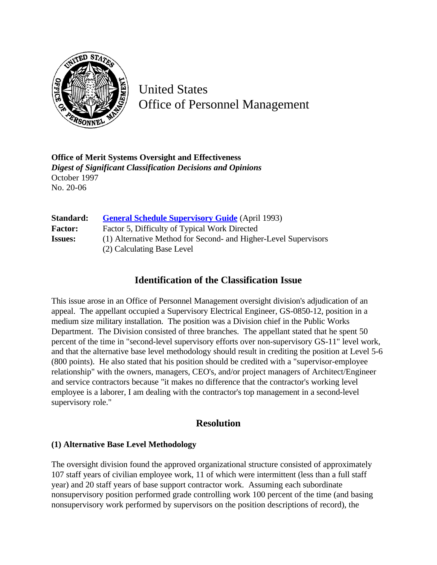

United States Office of Personnel Management

**Office of Merit Systems Oversight and Effectiveness** *Digest of Significant Classification Decisions and Opinions* October 1997 No. 20-06

| Standard:      | <b>General Schedule Supervisory Guide</b> (April 1993)          |
|----------------|-----------------------------------------------------------------|
| <b>Factor:</b> | Factor 5, Difficulty of Typical Work Directed                   |
| <b>Issues:</b> | (1) Alternative Method for Second- and Higher-Level Supervisors |
|                | (2) Calculating Base Level                                      |

## **Identification of the Classification Issue**

This issue arose in an Office of Personnel Management oversight division's adjudication of an appeal. The appellant occupied a Supervisory Electrical Engineer, GS-0850-12, position in a medium size military installation. The position was a Division chief in the Public Works Department. The Division consisted of three branches. The appellant stated that he spent 50 percent of the time in "second-level supervisory efforts over non-supervisory GS-11" level work, and that the alternative base level methodology should result in crediting the position at Level 5-6 (800 points). He also stated that his position should be credited with a "supervisor-employee relationship" with the owners, managers, CEO's, and/or project managers of Architect/Engineer and service contractors because "it makes no difference that the contractor's working level employee is a laborer, I am dealing with the contractor's top management in a second-level supervisory role."

## **Resolution**

## **(1) Alternative Base Level Methodology**

The oversight division found the approved organizational structure consisted of approximately 107 staff years of civilian employee work, 11 of which were intermittent (less than a full staff year) and 20 staff years of base support contractor work. Assuming each subordinate nonsupervisory position performed grade controlling work 100 percent of the time (and basing nonsupervisory work performed by supervisors on the position descriptions of record), the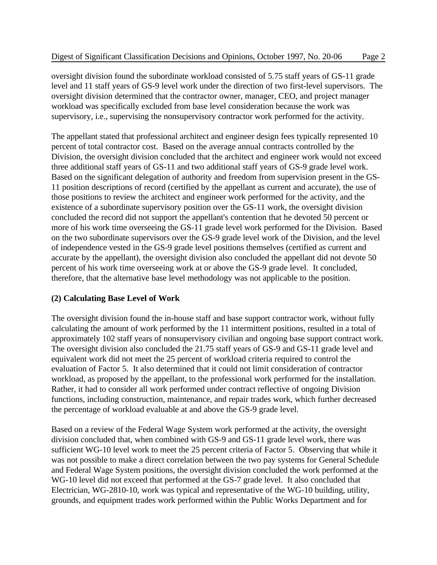oversight division found the subordinate workload consisted of 5.75 staff years of GS-11 grade level and 11 staff years of GS-9 level work under the direction of two first-level supervisors. The oversight division determined that the contractor owner, manager, CEO, and project manager workload was specifically excluded from base level consideration because the work was supervisory, i.e., supervising the nonsupervisory contractor work performed for the activity.

The appellant stated that professional architect and engineer design fees typically represented 10 percent of total contractor cost. Based on the average annual contracts controlled by the Division, the oversight division concluded that the architect and engineer work would not exceed three additional staff years of GS-11 and two additional staff years of GS-9 grade level work. Based on the significant delegation of authority and freedom from supervision present in the GS-11 position descriptions of record (certified by the appellant as current and accurate), the use of those positions to review the architect and engineer work performed for the activity, and the existence of a subordinate supervisory position over the GS-11 work, the oversight division concluded the record did not support the appellant's contention that he devoted 50 percent or more of his work time overseeing the GS-11 grade level work performed for the Division. Based on the two subordinate supervisors over the GS-9 grade level work of the Division, and the level of independence vested in the GS-9 grade level positions themselves (certified as current and accurate by the appellant), the oversight division also concluded the appellant did not devote 50 percent of his work time overseeing work at or above the GS-9 grade level. It concluded, therefore, that the alternative base level methodology was not applicable to the position.

## **(2) Calculating Base Level of Work**

The oversight division found the in-house staff and base support contractor work, without fully calculating the amount of work performed by the 11 intermittent positions, resulted in a total of approximately 102 staff years of nonsupervisory civilian and ongoing base support contract work. The oversight division also concluded the 21.75 staff years of GS-9 and GS-11 grade level and equivalent work did not meet the 25 percent of workload criteria required to control the evaluation of Factor 5. It also determined that it could not limit consideration of contractor workload, as proposed by the appellant, to the professional work performed for the installation. Rather, it had to consider all work performed under contract reflective of ongoing Division functions, including construction, maintenance, and repair trades work, which further decreased the percentage of workload evaluable at and above the GS-9 grade level.

Based on a review of the Federal Wage System work performed at the activity, the oversight division concluded that, when combined with GS-9 and GS-11 grade level work, there was sufficient WG-10 level work to meet the 25 percent criteria of Factor 5. Observing that while it was not possible to make a direct correlation between the two pay systems for General Schedule and Federal Wage System positions, the oversight division concluded the work performed at the WG-10 level did not exceed that performed at the GS-7 grade level. It also concluded that Electrician, WG-2810-10, work was typical and representative of the WG-10 building, utility, grounds, and equipment trades work performed within the Public Works Department and for